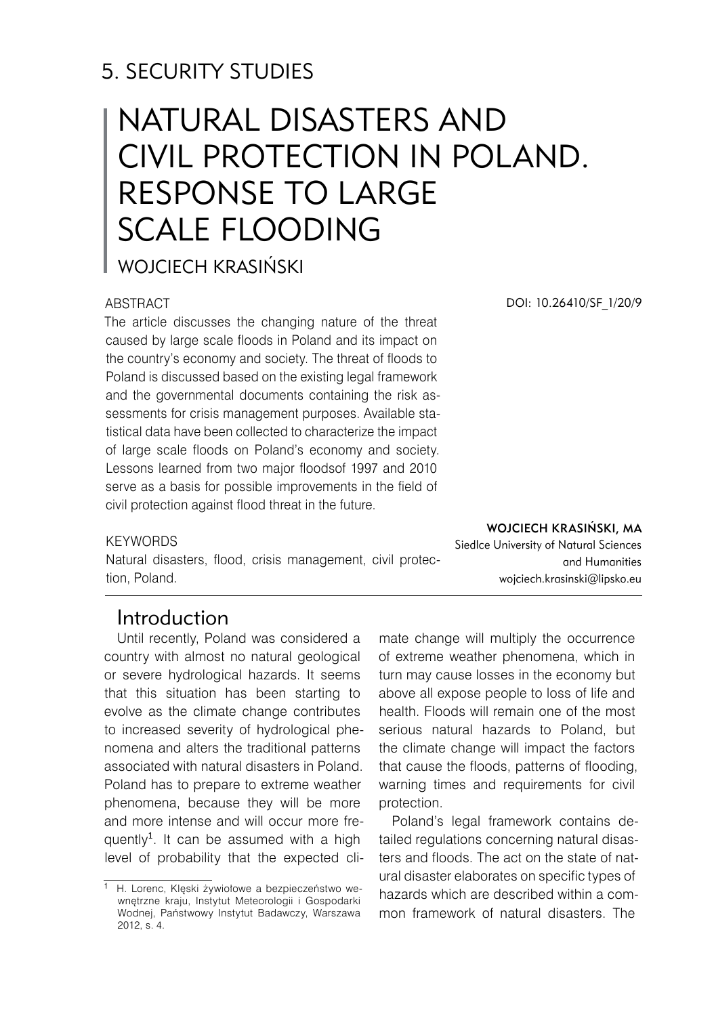# 5. SECURITY STUDIES

# NATURAL DISASTERS AND CIVIL PROTECTION IN POLAND. RESPONSE TO LARGE SCALE FLOODING

Wojciech Krasiński

#### ABSTRACT

The article discusses the changing nature of the threat caused by large scale floods in Poland and its impact on the country's economy and society. The threat of floods to Poland is discussed based on the existing legal framework and the governmental documents containing the risk assessments for crisis management purposes. Available statistical data have been collected to characterize the impact of large scale floods on Poland's economy and society. Lessons learned from two major floodsof 1997 and 2010 serve as a basis for possible improvements in the field of civil protection against flood threat in the future.

#### DOI: 10.26410/SF\_1/20/9

#### **KEYWORDS**

Natural disasters, flood, crisis management, civil protection, Poland.

Wojciech Krasiński, MA Siedlce University of Natural Sciences and Humanities wojciech.krasinski@lipsko.eu

## Introduction

Until recently, Poland was considered a country with almost no natural geological or severe hydrological hazards. It seems that this situation has been starting to evolve as the climate change contributes to increased severity of hydrological phenomena and alters the traditional patterns associated with natural disasters in Poland. Poland has to prepare to extreme weather phenomena, because they will be more and more intense and will occur more frequently<sup>1</sup>. It can be assumed with a high level of probability that the expected climate change will multiply the occurrence of extreme weather phenomena, which in turn may cause losses in the economy but above all expose people to loss of life and health. Floods will remain one of the most serious natural hazards to Poland, but the climate change will impact the factors that cause the floods, patterns of flooding, warning times and requirements for civil protection.

Poland's legal framework contains detailed regulations concerning natural disasters and floods. The act on the state of natural disaster elaborates on specific types of hazards which are described within a common framework of natural disasters. The

<sup>1</sup> H. Lorenc, Klęski żywiołowe a bezpieczeństwo wewnętrzne kraju, Instytut Meteorologii i Gospodarki Wodnej, Państwowy Instytut Badawczy, Warszawa 2012, s. 4.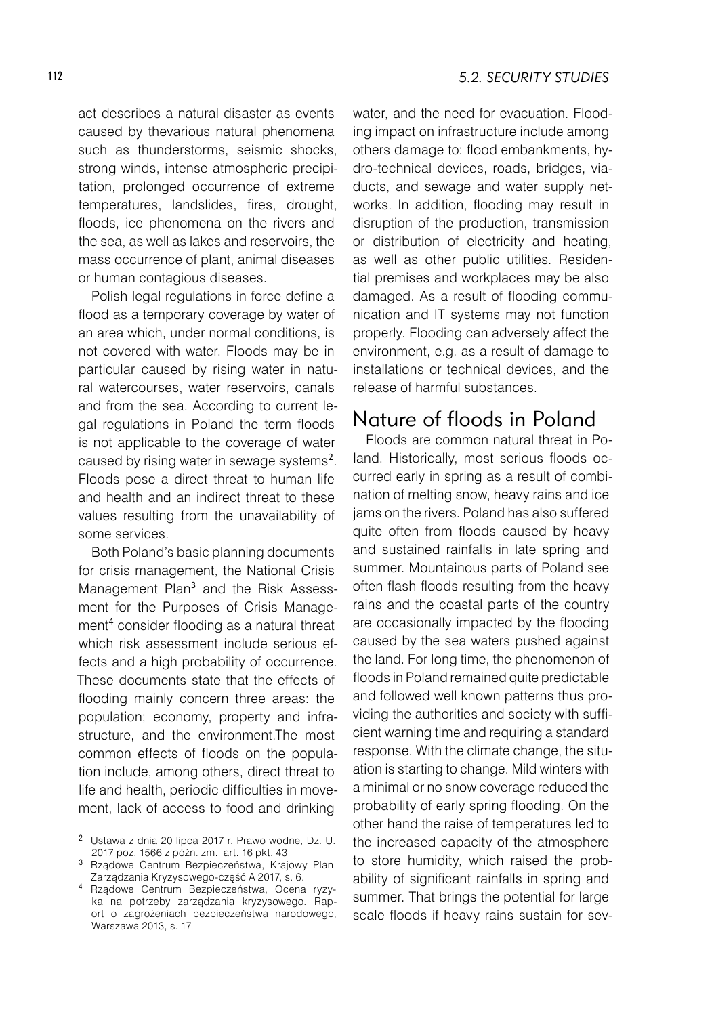act describes a natural disaster as events caused by thevarious natural phenomena such as thunderstorms, seismic shocks, strong winds, intense atmospheric precipitation, prolonged occurrence of extreme temperatures, landslides, fires, drought, floods, ice phenomena on the rivers and the sea, as well as lakes and reservoirs, the mass occurrence of plant, animal diseases or human contagious diseases.

Polish legal regulations in force define a flood as a temporary coverage by water of an area which, under normal conditions, is not covered with water. Floods may be in particular caused by rising water in natural watercourses, water reservoirs, canals and from the sea. According to current legal regulations in Poland the term floods is not applicable to the coverage of water caused by rising water in sewage systems<sup>2</sup>. Floods pose a direct threat to human life and health and an indirect threat to these values resulting from the unavailability of some services.

Both Poland's basic planning documents for crisis management, the National Crisis Management Plan<sup>3</sup> and the Risk Assessment for the Purposes of Crisis Management consider flooding as a natural threat which risk assessment include serious effects and a high probability of occurrence. These documents state that the effects of flooding mainly concern three areas: the population; economy, property and infrastructure, and the environment.The most common effects of floods on the population include, among others, direct threat to life and health, periodic difficulties in movement, lack of access to food and drinking

water, and the need for evacuation. Flooding impact on infrastructure include among others damage to: flood embankments, hydro-technical devices, roads, bridges, viaducts, and sewage and water supply networks. In addition, flooding may result in disruption of the production, transmission or distribution of electricity and heating, as well as other public utilities. Residential premises and workplaces may be also damaged. As a result of flooding communication and IT systems may not function properly. Flooding can adversely affect the environment, e.g. as a result of damage to installations or technical devices, and the release of harmful substances.

## Nature of floods in Poland

Floods are common natural threat in Poland. Historically, most serious floods occurred early in spring as a result of combination of melting snow, heavy rains and ice jams on the rivers. Poland has also suffered quite often from floods caused by heavy and sustained rainfalls in late spring and summer. Mountainous parts of Poland see often flash floods resulting from the heavy rains and the coastal parts of the country are occasionally impacted by the flooding caused by the sea waters pushed against the land. For long time, the phenomenon of floods in Poland remained quite predictable and followed well known patterns thus providing the authorities and society with sufficient warning time and requiring a standard response. With the climate change, the situation is starting to change. Mild winters with a minimal or no snow coverage reduced the probability of early spring flooding. On the other hand the raise of temperatures led to the increased capacity of the atmosphere to store humidity, which raised the probability of significant rainfalls in spring and summer. That brings the potential for large scale floods if heavy rains sustain for sev-

Ustawa z dnia 20 lipca 2017 r. Prawo wodne, Dz. U. 2017 poz. 1566 z późn. zm., art. 16 pkt. 43.

<sup>&</sup>lt;sup>3</sup> Rządowe Centrum Bezpieczeństwa, Krajowy Plan Zarządzania Kryzysowego-część A 2017, s. 6.

<sup>4</sup> Rządowe Centrum Bezpieczeństwa, Ocena ryzyka na potrzeby zarządzania kryzysowego. Raport o zagrożeniach bezpieczeństwa narodowego, Warszawa 2013, s. 17.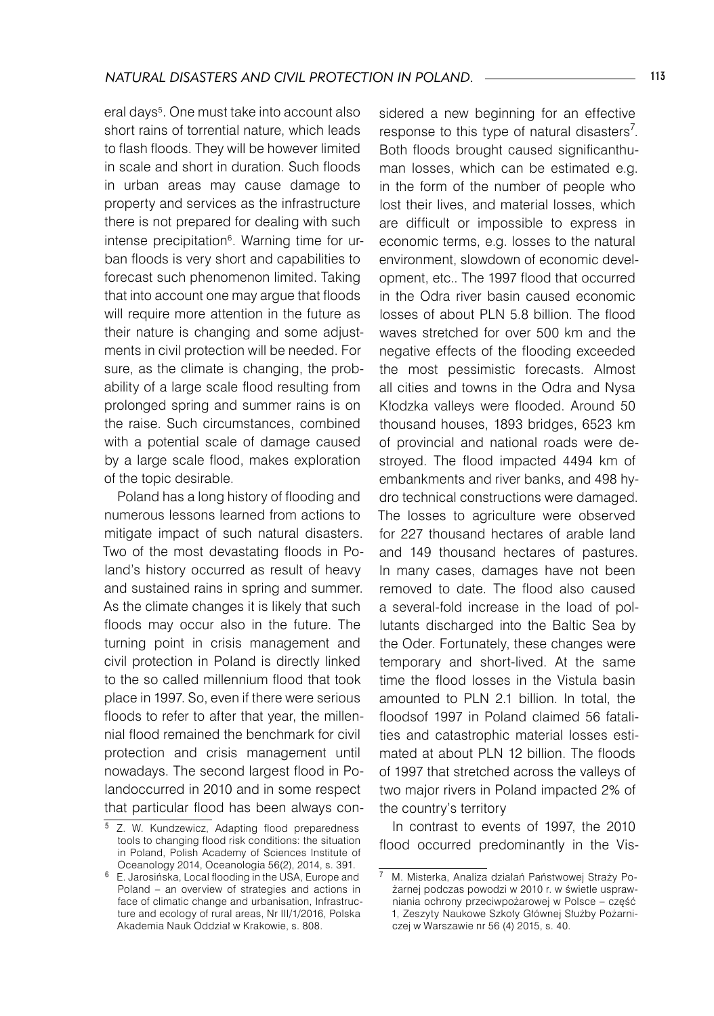eral days . One must take into account also short rains of torrential nature, which leads to flash floods. They will be however limited in scale and short in duration. Such floods in urban areas may cause damage to property and services as the infrastructure there is not prepared for dealing with such intense precipitation<sup>6</sup>. Warning time for urban floods is very short and capabilities to forecast such phenomenon limited. Taking that into account one may argue that floods will require more attention in the future as their nature is changing and some adjustments in civil protection will be needed. For sure, as the climate is changing, the probability of a large scale flood resulting from prolonged spring and summer rains is on the raise. Such circumstances, combined with a potential scale of damage caused by a large scale flood, makes exploration of the topic desirable.

Poland has a long history of flooding and numerous lessons learned from actions to mitigate impact of such natural disasters. Two of the most devastating floods in Poland's history occurred as result of heavy and sustained rains in spring and summer. As the climate changes it is likely that such floods may occur also in the future. The turning point in crisis management and civil protection in Poland is directly linked to the so called millennium flood that took place in 1997. So, even if there were serious floods to refer to after that year, the millennial flood remained the benchmark for civil protection and crisis management until nowadays. The second largest flood in Polandoccurred in 2010 and in some respect that particular flood has been always considered a new beginning for an effective response to this type of natural disasters<sup>7</sup>. Both floods brought caused significanthuman losses, which can be estimated e.g. in the form of the number of people who lost their lives, and material losses, which are difficult or impossible to express in economic terms, e.g. losses to the natural environment, slowdown of economic development, etc.. The 1997 flood that occurred in the Odra river basin caused economic losses of about PLN 5.8 billion. The flood waves stretched for over 500 km and the negative effects of the flooding exceeded the most pessimistic forecasts. Almost all cities and towns in the Odra and Nysa Kłodzka valleys were flooded. Around 50 thousand houses, 1893 bridges, 6523 km of provincial and national roads were destroyed. The flood impacted 4494 km of embankments and river banks, and 498 hydro technical constructions were damaged. The losses to agriculture were observed for 227 thousand hectares of arable land and 149 thousand hectares of pastures. In many cases, damages have not been removed to date. The flood also caused a several-fold increase in the load of pollutants discharged into the Baltic Sea by the Oder. Fortunately, these changes were temporary and short-lived. At the same time the flood losses in the Vistula basin amounted to PLN 2.1 billion. In total, the floodsof 1997 in Poland claimed 56 fatalities and catastrophic material losses estimated at about PLN 12 billion. The floods of 1997 that stretched across the valleys of two major rivers in Poland impacted 2% of the country's territory

In contrast to events of 1997, the 2010 flood occurred predominantly in the Vis-

<sup>&</sup>lt;sup>5</sup> Z. W. Kundzewicz, Adapting flood preparedness tools to changing flood risk conditions: the situation in Poland, Polish Academy of Sciences Institute of Oceanology 2014, Oceanologia 56(2), 2014, s. 391.

E. Jarosińska, Local flooding in the USA, Europe and Poland – an overview of strategies and actions in face of climatic change and urbanisation, Infrastructure and ecology of rural areas, Nr III/1/2016, Polska Akademia Nauk Oddział w Krakowie, s. 808.

M. Misterka, Analiza działań Państwowej Straży Pożarnej podczas powodzi w 2010 r. w świetle usprawniania ochrony przeciwpożarowej w Polsce – część 1, Zeszyty Naukowe Szkoły Głównej Służby Pożarniczej w Warszawie nr 56 (4) 2015, s. 40.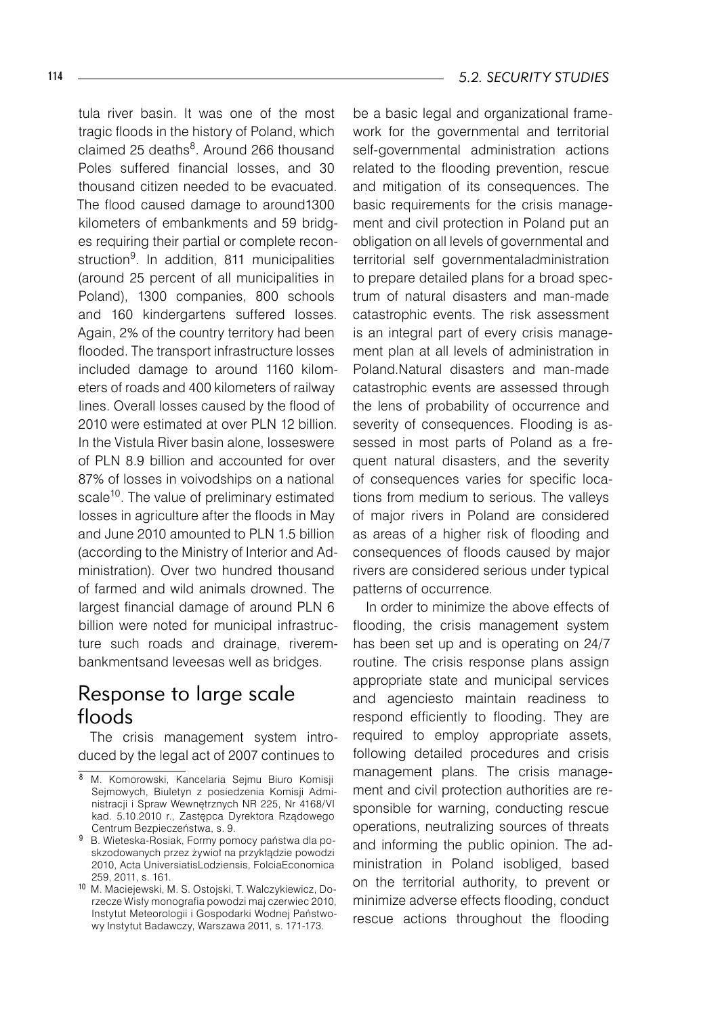tula river basin. It was one of the most tragic floods in the history of Poland, which claimed 25 deaths<sup>8</sup>. Around 266 thousand Poles suffered financial losses, and 30 thousand citizen needed to be evacuated. The flood caused damage to around1300 kilometers of embankments and 59 bridges requiring their partial or complete reconstruction<sup>9</sup>. In addition, 811 municipalities (around 25 percent of all municipalities in Poland), 1300 companies, 800 schools and 160 kindergartens suffered losses. Again, 2% of the country territory had been flooded. The transport infrastructure losses included damage to around 1160 kilometers of roads and 400 kilometers of railway lines. Overall losses caused by the flood of 2010 were estimated at over PLN 12 billion. In the Vistula River basin alone, losseswere of PLN 8.9 billion and accounted for over 87% of losses in voivodships on a national scale<sup>10</sup>. The value of preliminary estimated losses in agriculture after the floods in May and June 2010 amounted to PLN 1.5 billion (according to the Ministry of Interior and Administration). Over two hundred thousand of farmed and wild animals drowned. The largest financial damage of around PLN 6 billion were noted for municipal infrastructure such roads and drainage, riverembankmentsand leveesas well as bridges.

## Response to large scale floods

The crisis management system introduced by the legal act of 2007 continues to

be a basic legal and organizational framework for the governmental and territorial self-governmental administration actions related to the flooding prevention, rescue and mitigation of its consequences. The basic requirements for the crisis management and civil protection in Poland put an obligation on all levels of governmental and territorial self governmentaladministration to prepare detailed plans for a broad spectrum of natural disasters and man-made catastrophic events. The risk assessment is an integral part of every crisis management plan at all levels of administration in Poland.Natural disasters and man-made catastrophic events are assessed through the lens of probability of occurrence and severity of consequences. Flooding is assessed in most parts of Poland as a frequent natural disasters, and the severity of consequences varies for specific locations from medium to serious. The valleys of major rivers in Poland are considered as areas of a higher risk of flooding and consequences of floods caused by major rivers are considered serious under typical patterns of occurrence.

In order to minimize the above effects of flooding, the crisis management system has been set up and is operating on 24/7 routine. The crisis response plans assign appropriate state and municipal services and agenciesto maintain readiness to respond efficiently to flooding. They are required to employ appropriate assets, following detailed procedures and crisis management plans. The crisis management and civil protection authorities are responsible for warning, conducting rescue operations, neutralizing sources of threats and informing the public opinion. The administration in Poland isobliged, based on the territorial authority, to prevent or minimize adverse effects flooding, conduct rescue actions throughout the flooding

<sup>8</sup> M. Komorowski, Kancelaria Sejmu Biuro Komisji Sejmowych, Biuletyn z posiedzenia Komisji Administracji i Spraw Wewnętrznych NR 225, Nr 4168/VI kad. 5.10.2010 r., Zastępca Dyrektora Rządowego Centrum Bezpieczeństwa, s. 9.

<sup>9</sup> B. Wieteska-Rosiak, Formy pomocy państwa dla poskzodowanych przez żywioł na przykłądzie powodzi 2010, Acta UniversiatisLodziensis, FolciaEconomica 259, 2011, s. 161.

<sup>10</sup> M. Maciejewski, M. S. Ostojski, T. Walczykiewicz, Dorzecze Wisły monografia powodzi maj czerwiec 2010, Instytut Meteorologii i Gospodarki Wodnej Państwowy Instytut Badawczy, Warszawa 2011, s. 171-173.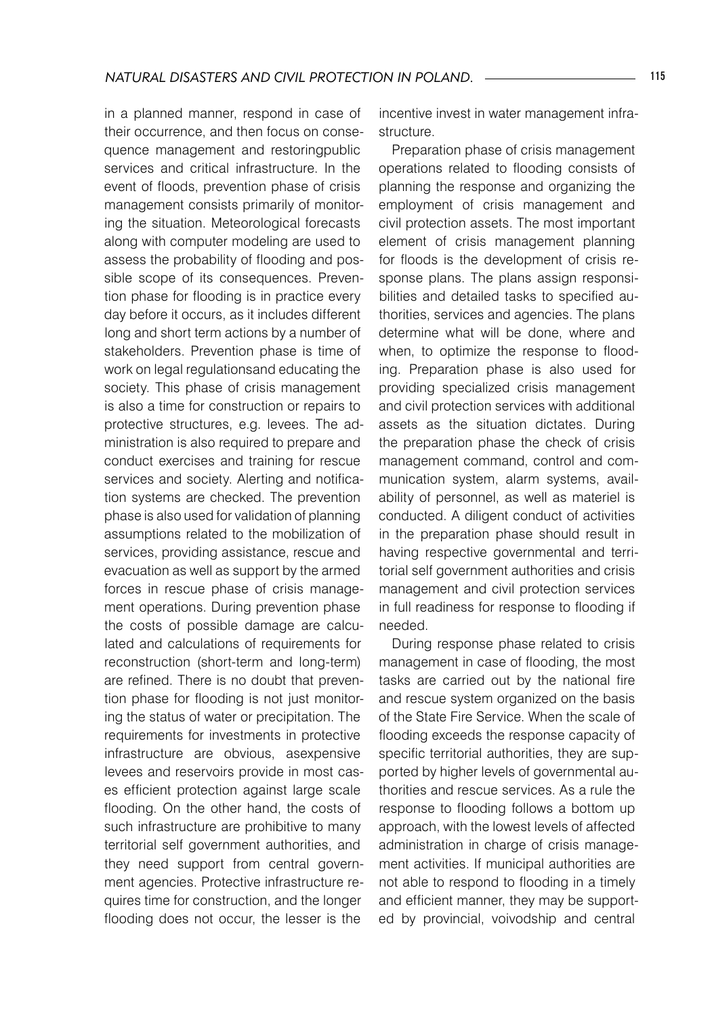in a planned manner, respond in case of their occurrence, and then focus on consequence management and restoringpublic services and critical infrastructure. In the event of floods, prevention phase of crisis management consists primarily of monitoring the situation. Meteorological forecasts along with computer modeling are used to assess the probability of flooding and possible scope of its consequences. Prevention phase for flooding is in practice every day before it occurs, as it includes different long and short term actions by a number of stakeholders. Prevention phase is time of work on legal regulationsand educating the society. This phase of crisis management is also a time for construction or repairs to protective structures, e.g. levees. The administration is also required to prepare and conduct exercises and training for rescue services and society. Alerting and notification systems are checked. The prevention phase is also used for validation of planning assumptions related to the mobilization of services, providing assistance, rescue and evacuation as well as support by the armed forces in rescue phase of crisis management operations. During prevention phase the costs of possible damage are calculated and calculations of requirements for reconstruction (short-term and long-term) are refined. There is no doubt that prevention phase for flooding is not just monitoring the status of water or precipitation. The requirements for investments in protective infrastructure are obvious, asexpensive levees and reservoirs provide in most cases efficient protection against large scale flooding. On the other hand, the costs of such infrastructure are prohibitive to many territorial self government authorities, and they need support from central government agencies. Protective infrastructure requires time for construction, and the longer flooding does not occur, the lesser is the

incentive invest in water management infrastructure.

Preparation phase of crisis management operations related to flooding consists of planning the response and organizing the employment of crisis management and civil protection assets. The most important element of crisis management planning for floods is the development of crisis response plans. The plans assign responsibilities and detailed tasks to specified authorities, services and agencies. The plans determine what will be done, where and when, to optimize the response to flooding. Preparation phase is also used for providing specialized crisis management and civil protection services with additional assets as the situation dictates. During the preparation phase the check of crisis management command, control and communication system, alarm systems, availability of personnel, as well as materiel is conducted. A diligent conduct of activities in the preparation phase should result in having respective governmental and territorial self government authorities and crisis management and civil protection services in full readiness for response to flooding if needed.

During response phase related to crisis management in case of flooding, the most tasks are carried out by the national fire and rescue system organized on the basis of the State Fire Service. When the scale of flooding exceeds the response capacity of specific territorial authorities, they are supported by higher levels of governmental authorities and rescue services. As a rule the response to flooding follows a bottom up approach, with the lowest levels of affected administration in charge of crisis management activities. If municipal authorities are not able to respond to flooding in a timely and efficient manner, they may be supported by provincial, voivodship and central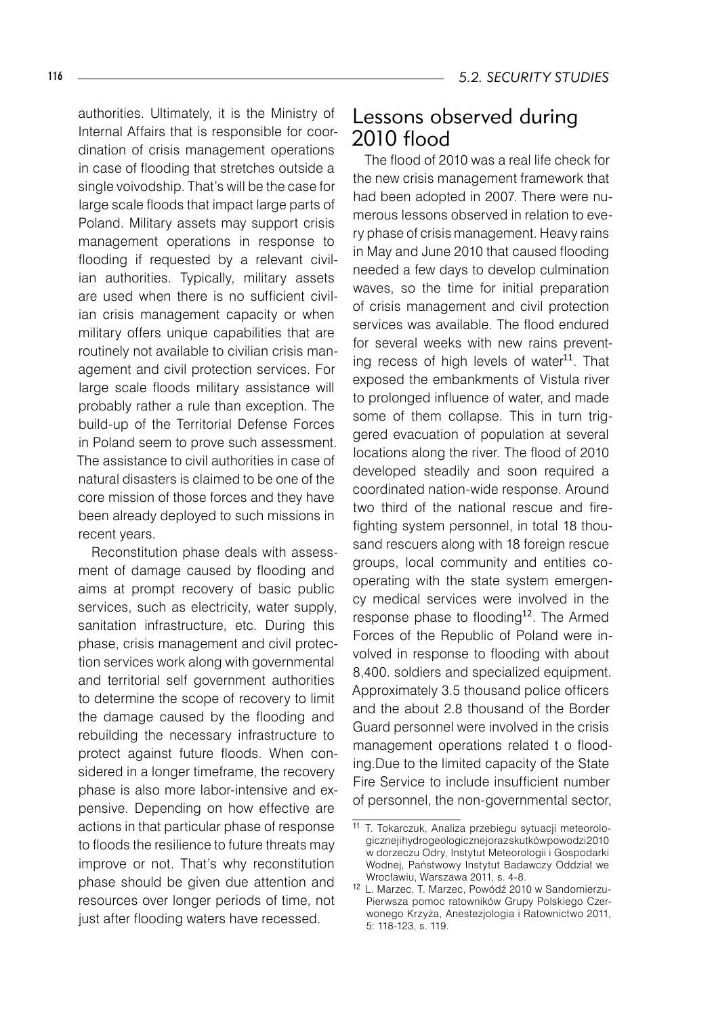authorities. Ultimately, it is the Ministry of Internal Affairs that is responsible for coordination of crisis management operations in case of flooding that stretches outside a single voivodship. That's will be the case for large scale floods that impact large parts of Poland. Military assets may support crisis management operations in response to flooding if requested by a relevant civilian authorities. Typically, military assets are used when there is no sufficient civilian crisis management capacity or when military offers unique capabilities that are routinely not available to civilian crisis management and civil protection services. For large scale floods military assistance will probably rather a rule than exception. The build-up of the Territorial Defense Forces in Poland seem to prove such assessment. The assistance to civil authorities in case of natural disasters is claimed to be one of the core mission of those forces and they have been already deployed to such missions in recent years.

Reconstitution phase deals with assessment of damage caused by flooding and aims at prompt recovery of basic public services, such as electricity, water supply, sanitation infrastructure, etc. During this phase, crisis management and civil protection services work along with governmental and territorial self government authorities to determine the scope of recovery to limit the damage caused by the flooding and rebuilding the necessary infrastructure to protect against future floods. When considered in a longer timeframe, the recovery phase is also more labor-intensive and expensive. Depending on how effective are actions in that particular phase of response to floods the resilience to future threats may improve or not. That's why reconstitution phase should be given due attention and resources over longer periods of time, not just after flooding waters have recessed.

## Lessons observed during 2010 flood

The flood of 2010 was a real life check for the new crisis management framework that had been adopted in 2007. There were numerous lessons observed in relation to every phase of crisis management. Heavy rains in May and June 2010 that caused flooding needed a few days to develop culmination waves, so the time for initial preparation of crisis management and civil protection services was available. The flood endured for several weeks with new rains preventing recess of high levels of water $11$ . That exposed the embankments of Vistula river to prolonged influence of water, and made some of them collapse. This in turn triggered evacuation of population at several locations along the river. The flood of 2010 developed steadily and soon required a coordinated nation-wide response. Around two third of the national rescue and firefighting system personnel, in total 18 thousand rescuers along with 18 foreign rescue groups, local community and entities cooperating with the state system emergency medical services were involved in the response phase to flooding $12$ . The Armed Forces of the Republic of Poland were involved in response to flooding with about 8,400. soldiers and specialized equipment. Approximately 3.5 thousand police officers and the about 2.8 thousand of the Border Guard personnel were involved in the crisis management operations related t o flooding.Due to the limited capacity of the State Fire Service to include insufficient number of personnel, the non-governmental sector,

<sup>11</sup> T. Tokarczuk, Analiza przebiegu sytuacji meteorologicznej i hydrogeologicznej oraz skutków powodzi 2010 w dorzeczu Odry, Instytut Meteorologii i Gospodarki Wodnej, Państwowy Instytut Badawczy Oddział we Wrocławiu, Warszawa 2011, s. 4-8.

<sup>&</sup>lt;sup>12</sup> L. Marzec, T. Marzec, Powódź 2010 w Sandomierzu-Pierwsza pomoc ratowników Grupy Polskiego Czerwonego Krzyża, Anestezjologia i Ratownictwo 2011, 5: 118-123, s. 119.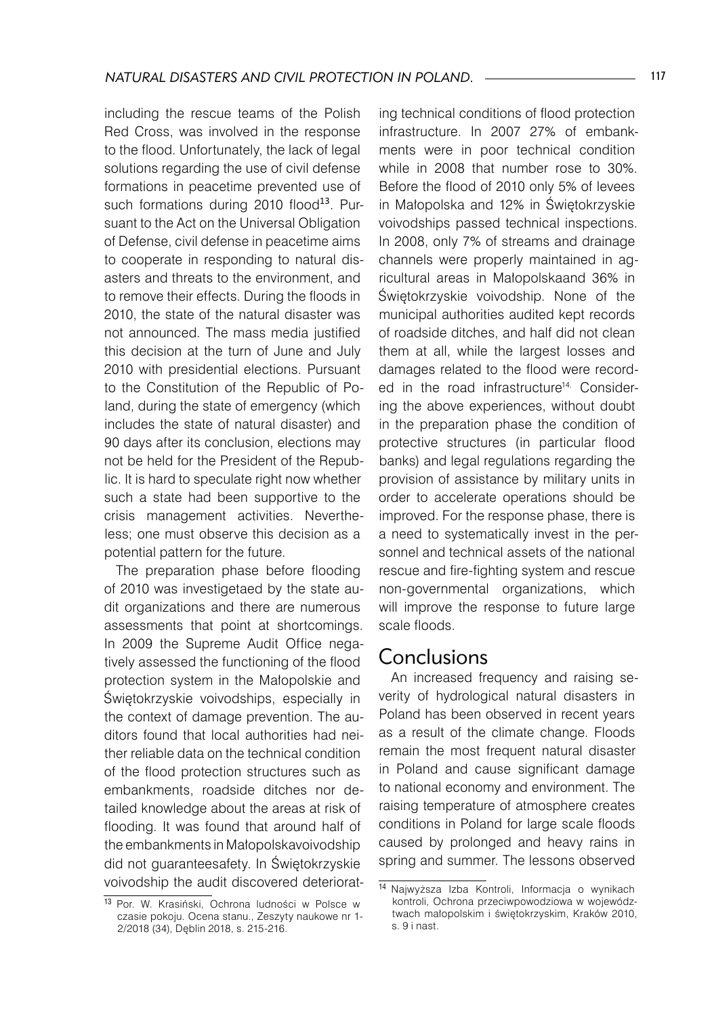including the rescue teams of the Polish Red Cross, was involved in the response to the flood. Unfortunately, the lack of legal solutions regarding the use of civil defense formations in peacetime prevented use of such formations during 2010 flood<sup>13</sup>. Pursuant to the Act on the Universal Obligation of Defense, civil defense in peacetime aims to cooperate in responding to natural disasters and threats to the environment, and to remove their effects. During the floods in 2010, the state of the natural disaster was not announced. The mass media justified this decision at the turn of June and July 2010 with presidential elections. Pursuant to the Constitution of the Republic of Poland, during the state of emergency (which includes the state of natural disaster) and 90 days after its conclusion, elections may not be held for the President of the Republic. It is hard to speculate right now whether such a state had been supportive to the crisis management activities. Nevertheless; one must observe this decision as a potential pattern for the future.

The preparation phase before flooding of 2010 was investigetaed by the state audit organizations and there are numerous assessments that point at shortcomings. In 2009 the Supreme Audit Office negatively assessed the functioning of the flood protection system in the Małopolskie and Świętokrzyskie voivodships, especially in the context of damage prevention. The auditors found that local authorities had neither reliable data on the technical condition of the flood protection structures such as embankments, roadside ditches nor detailed knowledge about the areas at risk of flooding. It was found that around half of the embankments in Małopolskavoivodship did not guaranteesafety. In Świętokrzyskie voivodship the audit discovered deteriorating technical conditions of flood protection infrastructure. In 2007 27% of embankments were in poor technical condition while in 2008 that number rose to 30%. Before the flood of 2010 only 5% of levees in Małopolska and 12% in Świętokrzyskie voivodships passed technical inspections. In 2008, only 7% of streams and drainage channels were properly maintained in agricultural areas in Małopolskaand 36% in Świętokrzyskie voivodship. None of the municipal authorities audited kept records of roadside ditches, and half did not clean them at all, while the largest losses and damages related to the flood were recorded in the road infrastructure<sup>14</sup>. Considering the above experiences, without doubt in the preparation phase the condition of protective structures (in particular flood banks) and legal regulations regarding the provision of assistance by military units in order to accelerate operations should be improved. For the response phase, there is a need to systematically invest in the personnel and technical assets of the national rescue and fire-fighting system and rescue non-governmental organizations, which will improve the response to future large scale floods.

## Conclusions

An increased frequency and raising severity of hydrological natural disasters in Poland has been observed in recent years as a result of the climate change. Floods remain the most frequent natural disaster in Poland and cause significant damage to national economy and environment. The raising temperature of atmosphere creates conditions in Poland for large scale floods caused by prolonged and heavy rains in spring and summer. The lessons observed

<sup>13</sup> Por. W. Krasiński, Ochrona ludności w Polsce w czasie pokoju. Ocena stanu., Zeszyty naukowe nr 1- 2/2018 (34), Dęblin 2018, s. 215-216.

<sup>14</sup> Najwyższa Izba Kontroli, Informacja o wynikach kontroli, Ochrona przeciwpowodziowa w województwach małopolskim i świętokrzyskim, Kraków 2010, s. 9 i nast.